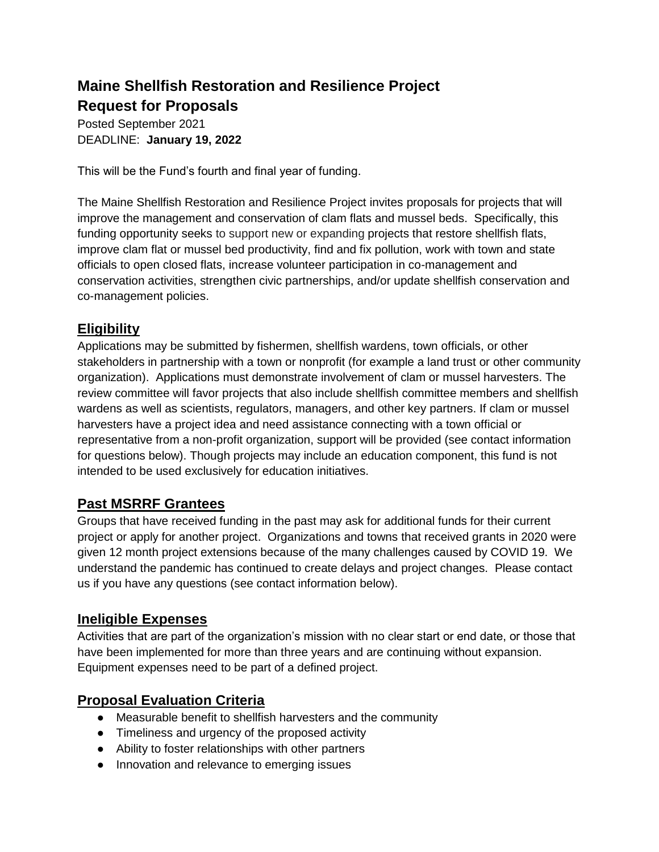# **Maine Shellfish Restoration and Resilience Project Request for Proposals**

Posted September 2021 DEADLINE: **January 19, 2022**

This will be the Fund's fourth and final year of funding.

The Maine Shellfish Restoration and Resilience Project invites proposals for projects that will improve the management and conservation of clam flats and mussel beds. Specifically, this funding opportunity seeks to support new or expanding projects that restore shellfish flats, improve clam flat or mussel bed productivity, find and fix pollution, work with town and state officials to open closed flats, increase volunteer participation in co-management and conservation activities, strengthen civic partnerships, and/or update shellfish conservation and co-management policies.

#### **Eligibility**

Applications may be submitted by fishermen, shellfish wardens, town officials, or other stakeholders in partnership with a town or nonprofit (for example a land trust or other community organization). Applications must demonstrate involvement of clam or mussel harvesters. The review committee will favor projects that also include shellfish committee members and shellfish wardens as well as scientists, regulators, managers, and other key partners. If clam or mussel harvesters have a project idea and need assistance connecting with a town official or representative from a non-profit organization, support will be provided (see contact information for questions below). Though projects may include an education component, this fund is not intended to be used exclusively for education initiatives.

## **Past MSRRF Grantees**

Groups that have received funding in the past may ask for additional funds for their current project or apply for another project. Organizations and towns that received grants in 2020 were given 12 month project extensions because of the many challenges caused by COVID 19. We understand the pandemic has continued to create delays and project changes. Please contact us if you have any questions (see contact information below).

#### **Ineligible Expenses**

Activities that are part of the organization's mission with no clear start or end date, or those that have been implemented for more than three years and are continuing without expansion. Equipment expenses need to be part of a defined project.

#### **Proposal Evaluation Criteria**

- Measurable benefit to shellfish harvesters and the community
- Timeliness and urgency of the proposed activity
- Ability to foster relationships with other partners
- Innovation and relevance to emerging issues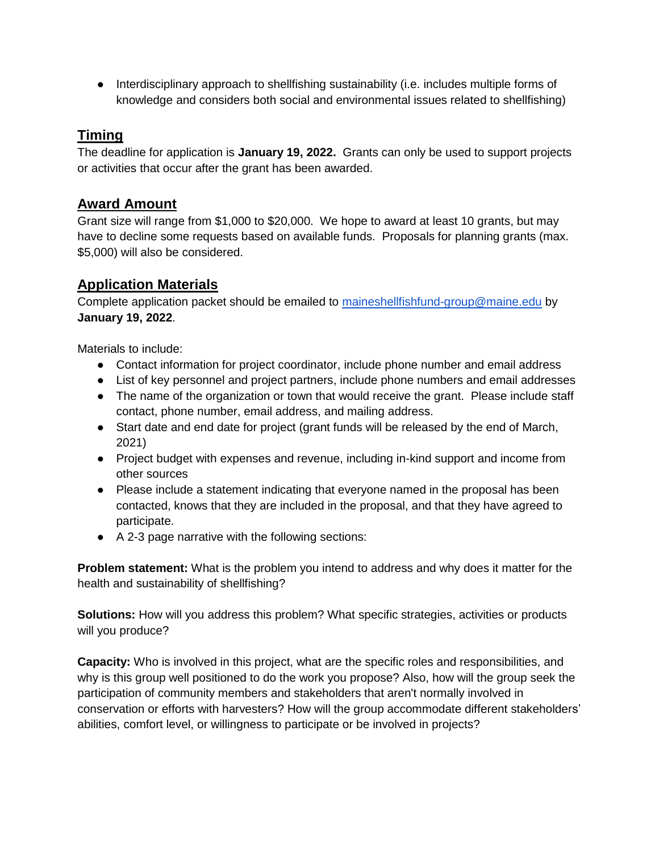● Interdisciplinary approach to shellfishing sustainability (i.e. includes multiple forms of knowledge and considers both social and environmental issues related to shellfishing)

### **Timing**

The deadline for application is **January 19, 2022.** Grants can only be used to support projects or activities that occur after the grant has been awarded.

#### **Award Amount**

Grant size will range from \$1,000 to \$20,000. We hope to award at least 10 grants, but may have to decline some requests based on available funds. Proposals for planning grants (max. \$5,000) will also be considered.

#### **Application Materials**

Complete application packet should be emailed to [maineshellfishfund-group@maine.edu](mailto:maineshellfishfund-group@maine.edu) by **January 19, 2022**.

Materials to include:

- Contact information for project coordinator, include phone number and email address
- List of key personnel and project partners, include phone numbers and email addresses
- The name of the organization or town that would receive the grant. Please include staff contact, phone number, email address, and mailing address.
- Start date and end date for project (grant funds will be released by the end of March, 2021)
- Project budget with expenses and revenue, including in-kind support and income from other sources
- Please include a statement indicating that everyone named in the proposal has been contacted, knows that they are included in the proposal, and that they have agreed to participate.
- A 2-3 page narrative with the following sections:

**Problem statement:** What is the problem you intend to address and why does it matter for the health and sustainability of shellfishing?

**Solutions:** How will you address this problem? What specific strategies, activities or products will you produce?

**Capacity:** Who is involved in this project, what are the specific roles and responsibilities, and why is this group well positioned to do the work you propose? Also, how will the group seek the participation of community members and stakeholders that aren't normally involved in conservation or efforts with harvesters? How will the group accommodate different stakeholders' abilities, comfort level, or willingness to participate or be involved in projects?